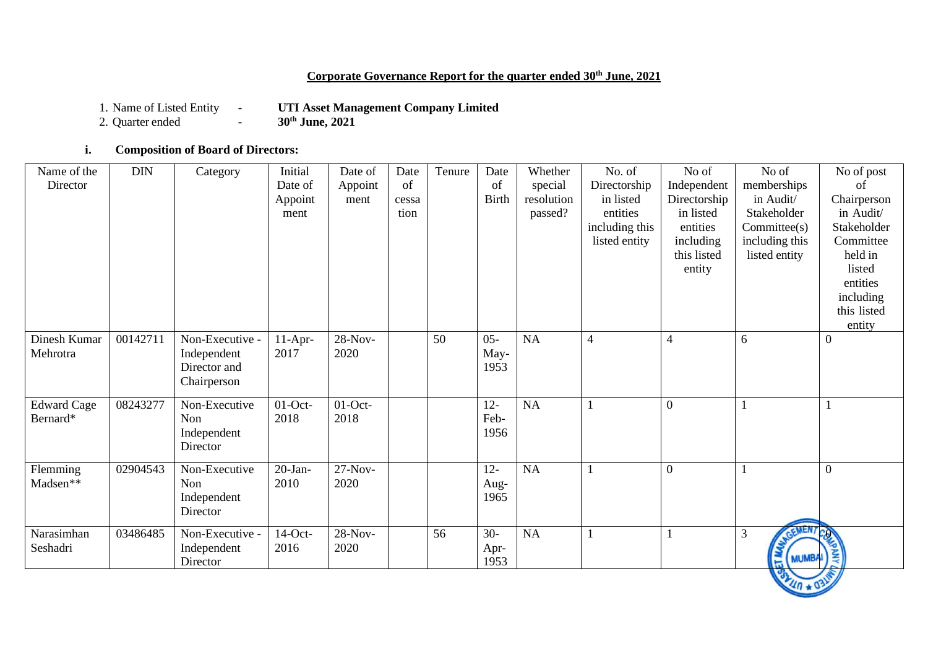## **Corporate Governance Report for the quarter ended 30th June, 2021**

1. Name of Listed Entity **- UTI Asset Management Company Limited**<br>2. Quarter ended **- 30<sup>th</sup> June, 2021** 

2. Quarter ended **-**

### **i. Composition of Board of Directors:**

| Name of the<br>Director        | <b>DIN</b> | Category                                                      | Initial<br>Date of<br>Appoint<br>ment | Date of<br>Appoint<br>ment | Date<br>of<br>cessa<br>tion | Tenure | Date<br>of<br><b>Birth</b> | Whether<br>special<br>resolution<br>passed? | No. of<br>Directorship<br>in listed<br>entities<br>including this<br>listed entity | No of<br>Independent<br>Directorship<br>in listed<br>entities<br>including<br>this listed<br>entity | No of<br>memberships<br>in Audit/<br>Stakeholder<br>Committee(s)<br>including this<br>listed entity | No of post<br>of<br>Chairperson<br>in Audit/<br>Stakeholder<br>Committee<br>held in<br>listed<br>entities<br>including<br>this listed<br>entity |
|--------------------------------|------------|---------------------------------------------------------------|---------------------------------------|----------------------------|-----------------------------|--------|----------------------------|---------------------------------------------|------------------------------------------------------------------------------------|-----------------------------------------------------------------------------------------------------|-----------------------------------------------------------------------------------------------------|-------------------------------------------------------------------------------------------------------------------------------------------------|
| Dinesh Kumar<br>Mehrotra       | 00142711   | Non-Executive -<br>Independent<br>Director and<br>Chairperson | $11-Apr-$<br>2017                     | 28-Nov-<br>2020            |                             | 50     | $05 -$<br>May-<br>1953     | NA                                          | $\overline{4}$                                                                     | 4                                                                                                   | 6                                                                                                   | $\boldsymbol{0}$                                                                                                                                |
| <b>Edward Cage</b><br>Bernard* | 08243277   | Non-Executive<br>Non<br>Independent<br>Director               | $01$ -Oct-<br>2018                    | $01$ -Oct-<br>2018         |                             |        | $12 -$<br>Feb-<br>1956     | NA                                          |                                                                                    | $\overline{0}$                                                                                      |                                                                                                     | $\mathbf 1$                                                                                                                                     |
| Flemming<br>Madsen**           | 02904543   | Non-Executive<br>Non<br>Independent<br>Director               | $20-Ian-$<br>2010                     | $27-Nov-$<br>2020          |                             |        | $12 -$<br>Aug-<br>1965     | NA                                          |                                                                                    | $\overline{0}$                                                                                      |                                                                                                     | $\overline{0}$                                                                                                                                  |
| Narasimhan<br>Seshadri         | 03486485   | Non-Executive -<br>Independent<br>Director                    | $14$ -Oct-<br>2016                    | 28-Nov-<br>2020            |                             | 56     | $30 -$<br>Apr-<br>1953     | NA                                          |                                                                                    |                                                                                                     | GEMEN.<br>3<br><b>MUMBA</b><br>局                                                                    | <b>ANY</b><br>$\mathcal{L}$                                                                                                                     |

**PAULA 4 031**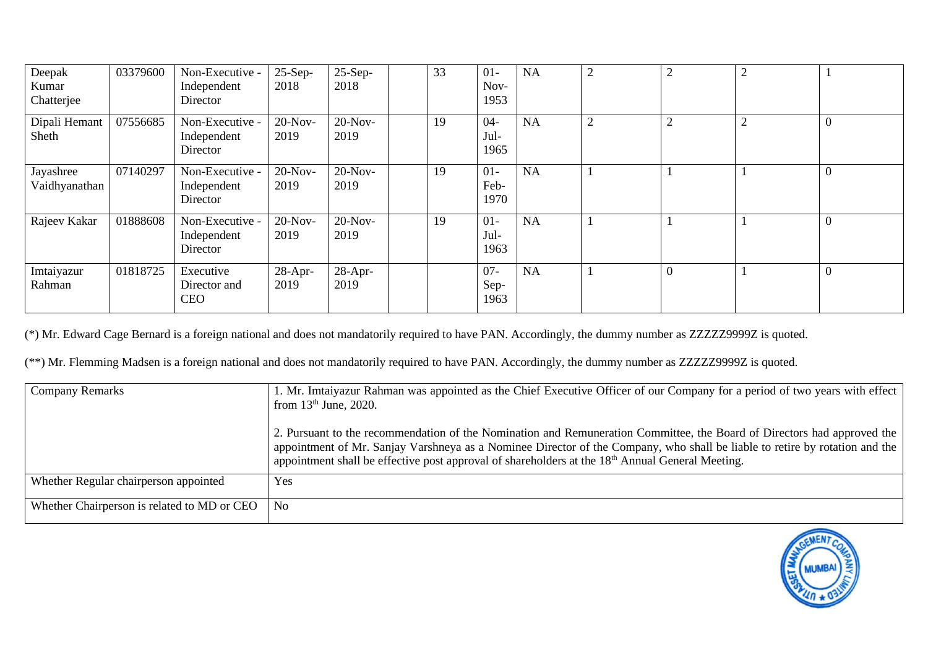| Deepak<br>Kumar<br>Chatterjee | 03379600 | Non-Executive -<br>Independent<br>Director | $25-Sep-$<br>2018  | $25-Sep-$<br>2018  | 33 | $01 -$<br>Nov-<br>1953 | <b>NA</b> | ◠ | 2 | 2      |                |
|-------------------------------|----------|--------------------------------------------|--------------------|--------------------|----|------------------------|-----------|---|---|--------|----------------|
| Dipali Hemant<br>Sheth        | 07556685 | Non-Executive -<br>Independent<br>Director | $20-Nov-$<br>2019  | $20-Nov-$<br>2019  | 19 | $04 -$<br>Jul-<br>1965 | <b>NA</b> | ◠ | ↑ | ◠<br>∠ | $\overline{0}$ |
| Jayashree<br>Vaidhyanathan    | 07140297 | Non-Executive -<br>Independent<br>Director | $20-Nov-$<br>2019  | $20-Nov-$<br>2019  | 19 | $01-$<br>Feb-<br>1970  | <b>NA</b> |   |   |        | $\overline{0}$ |
| Rajeev Kakar                  | 01888608 | Non-Executive -<br>Independent<br>Director | $20$ -Nov-<br>2019 | $20-Nov-$<br>2019  | 19 | $01-$<br>Jul-<br>1963  | NA        |   |   |        | $\overline{0}$ |
| Imtaiyazur<br>Rahman          | 01818725 | Executive<br>Director and<br><b>CEO</b>    | $28-Apr-$<br>2019  | $28$ -Apr-<br>2019 |    | $07 -$<br>Sep-<br>1963 | NA        |   |   |        | $\overline{0}$ |

(\*) Mr. Edward Cage Bernard is a foreign national and does not mandatorily required to have PAN. Accordingly, the dummy number as ZZZZZ9999Z is quoted.

(\*\*) Mr. Flemming Madsen is a foreign national and does not mandatorily required to have PAN. Accordingly, the dummy number as ZZZZZ9999Z is quoted.

| <b>Company Remarks</b>                      | 1. Mr. Imtaiyazur Rahman was appointed as the Chief Executive Officer of our Company for a period of two years with effect<br>from $13th$ June, 2020.                                                                                                                                                                                                                  |  |  |  |
|---------------------------------------------|------------------------------------------------------------------------------------------------------------------------------------------------------------------------------------------------------------------------------------------------------------------------------------------------------------------------------------------------------------------------|--|--|--|
|                                             | 2. Pursuant to the recommendation of the Nomination and Remuneration Committee, the Board of Directors had approved the<br>appointment of Mr. Sanjay Varshneya as a Nominee Director of the Company, who shall be liable to retire by rotation and the<br>appointment shall be effective post approval of shareholders at the 18 <sup>th</sup> Annual General Meeting. |  |  |  |
| Whether Regular chairperson appointed       | Yes                                                                                                                                                                                                                                                                                                                                                                    |  |  |  |
| Whether Chairperson is related to MD or CEO | N <sub>0</sub>                                                                                                                                                                                                                                                                                                                                                         |  |  |  |

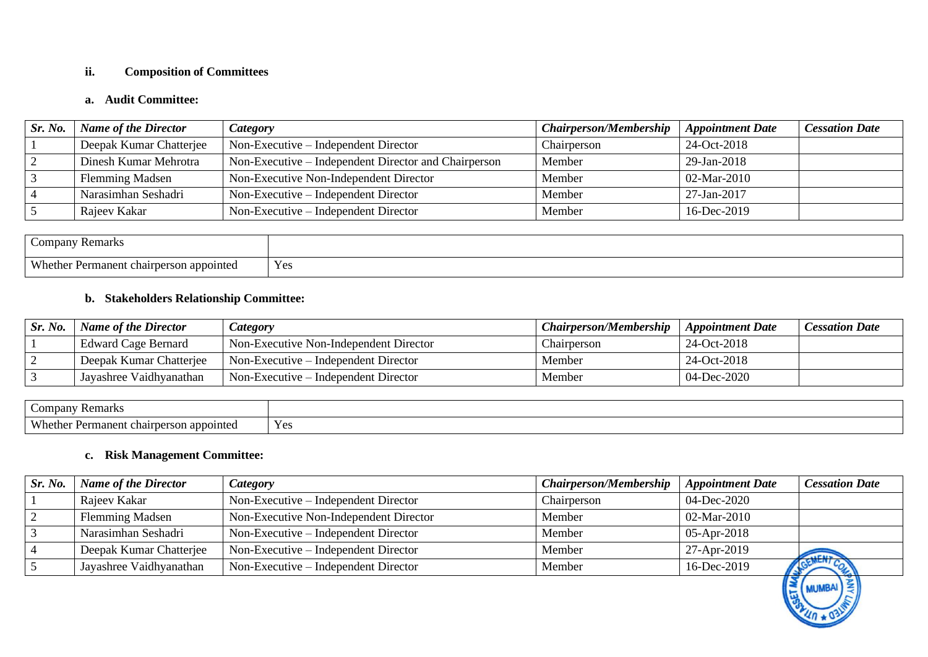### **ii. Composition of Committees**

## **a. Audit Committee:**

| Sr. No. | <b>Name of the Director</b> | <i>Category</i>                                      | <b>Chairperson/Membership</b> | <b>Appointment Date</b> | <b>Cessation Date</b> |
|---------|-----------------------------|------------------------------------------------------|-------------------------------|-------------------------|-----------------------|
|         | Deepak Kumar Chatterjee     | Non-Executive – Independent Director                 | Chairperson                   | 24-Oct-2018             |                       |
|         | Dinesh Kumar Mehrotra       | Non-Executive – Independent Director and Chairperson | Member                        | 29-Jan-2018             |                       |
|         | <b>Flemming Madsen</b>      | Non-Executive Non-Independent Director               | Member                        | 02-Mar-2010             |                       |
|         | Narasimhan Seshadri         | $Non-Execute$ – Independent Director                 | Member                        | 27-Jan-2017             |                       |
|         | Rajeev Kakar                | Non-Executive – Independent Director                 | Member                        | 16-Dec-2019             |                       |

| ∠ompany<br><b>Remarks</b>                          |     |
|----------------------------------------------------|-----|
| $Wh$ athar<br>appointed<br>rmanen.<br>CHAILD CLOUD | Yes |

## **b. Stakeholders Relationship Committee:**

| Sr. No. | <b>Name of the Director</b> | <i>Category</i>                        | <b>Chairperson/Membership</b> | <b>Appointment Date</b> | Cessation Date |
|---------|-----------------------------|----------------------------------------|-------------------------------|-------------------------|----------------|
|         | <b>Edward Cage Bernard</b>  | Non-Executive Non-Independent Director | Chairperson                   | 24-Oct-2018             |                |
|         | Deepak Kumar Chatteriee     | Non-Executive – Independent Director   | Member                        | 24-Oct-2018             |                |
|         | Jayashree Vaidhyanathan     | Non-Executive – Independent Director   | Member                        | $04 - Dec-2020$         |                |

| 77 Remark.<br>Company                       |     |
|---------------------------------------------|-----|
| Whether<br>rmanent chairperson<br>appointed | Yes |

## **c. Risk Management Committee:**

| Sr. No. | <b>Name of the Director</b> | <i>Category</i>                        | <b>Chairperson/Membership</b> | <b>Appointment Date</b> | <b>Cessation Date</b> |
|---------|-----------------------------|----------------------------------------|-------------------------------|-------------------------|-----------------------|
|         | Rajeev Kakar                | Non-Executive – Independent Director   | Chairperson                   | 04-Dec-2020             |                       |
|         | <b>Flemming Madsen</b>      | Non-Executive Non-Independent Director | Member                        | 02-Mar-2010             |                       |
|         | Narasimhan Seshadri         | Non-Executive – Independent Director   | Member                        | $05$ -Apr-2018          |                       |
|         | Deepak Kumar Chatterjee     | Non-Executive – Independent Director   | Member                        | 27-Apr-2019             | <b>ALCALD</b>         |
|         | Jayashree Vaidhyanathan     | Non-Executive – Independent Director   | Member                        | 16-Dec-2019             |                       |

**MUMBAI** 

길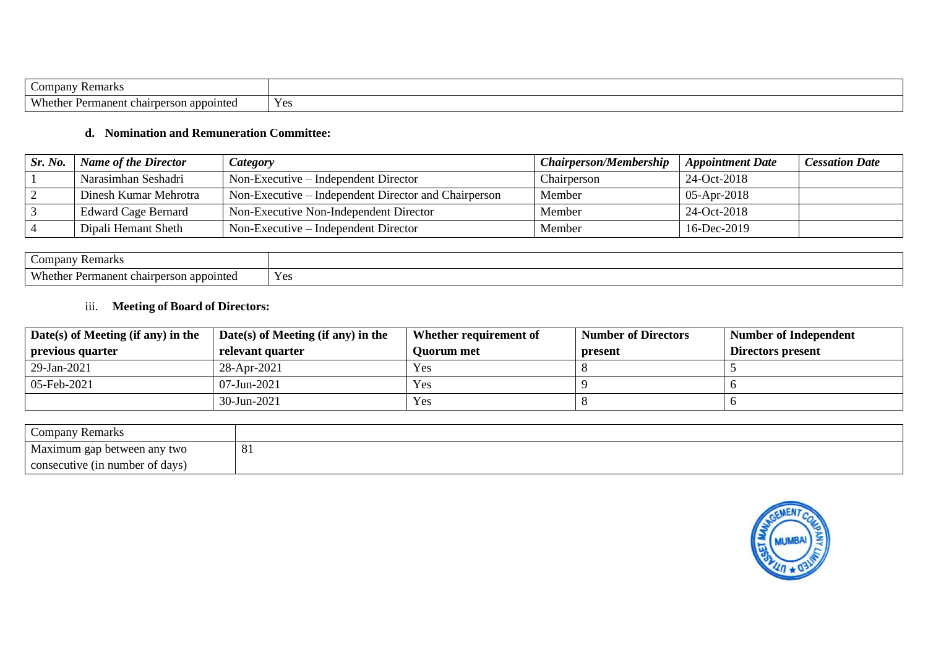| Companv<br>Remarks                                                             |     |
|--------------------------------------------------------------------------------|-----|
| <b>XX71</b><br>ിന്നവില് <del>പ</del><br>≁ermanent<br>: chairperson<br>nether " | Yes |

# **d. Nomination and Remuneration Committee:**

| Sr. No. | <b>Name of the Director</b> | Category                                             | <b>Chairperson/Membership</b> | <b>Appointment Date</b> | <b>Cessation Date</b> |
|---------|-----------------------------|------------------------------------------------------|-------------------------------|-------------------------|-----------------------|
|         | Narasimhan Seshadri         | Non-Executive – Independent Director                 | Chairperson                   | 24-Oct-2018             |                       |
|         | Dinesh Kumar Mehrotra       | Non-Executive – Independent Director and Chairperson | Member                        | $05$ -Apr-2018          |                       |
|         | Edward Cage Bernard         | Non-Executive Non-Independent Director               | Member                        | 24-Oct-2018             |                       |
|         | Dipali Hemant Sheth         | $Non-Execute$ – Independent Director                 | Member                        | 16-Dec-2019             |                       |

| $\mathcal{L}^{\text{OPT}}$<br>* Kemark.                                                  |             |
|------------------------------------------------------------------------------------------|-------------|
| Who<br>$\sim$<br>$\sim$ then<br>Permanent<br>t chairt<br>$.$ $Prcor$<br>int<br>™uutu<br> | YA<br>1 U.S |

# iii. **Meeting of Board of Directors:**

| Date(s) of Meeting (if any) in the | $Date(s)$ of Meeting (if any) in the | Whether requirement of | <b>Number of Directors</b> | <b>Number of Independent</b> |
|------------------------------------|--------------------------------------|------------------------|----------------------------|------------------------------|
| previous quarter                   | relevant quarter                     | <b>Ouorum</b> met      | present                    | Directors present            |
| 29-Jan-2021                        | 28-Apr-2021                          | Yes                    |                            |                              |
| 05-Feb-2021                        | $07$ -Jun-2021                       | Yes                    |                            |                              |
|                                    | $30$ -Jun-2021                       | Yes                    |                            |                              |

| Company Remarks                 |           |
|---------------------------------|-----------|
| Maximum gap between any two     | <u>UJ</u> |
| consecutive (in number of days) |           |

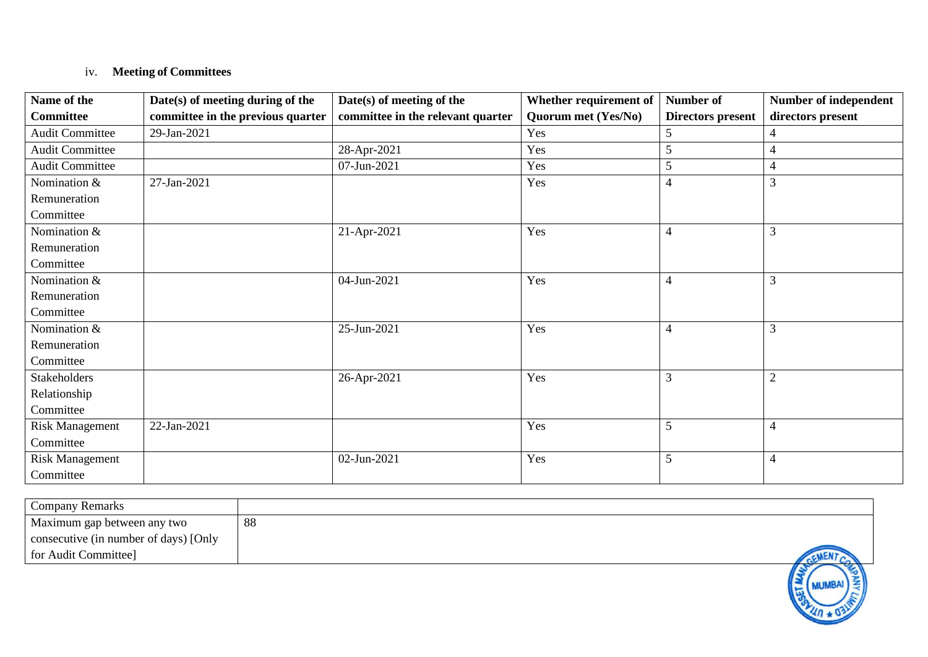## iv. **Meeting of Committees**

| Name of the            | Date(s) of meeting during of the  | Date(s) of meeting of the         | Whether requirement of     | Number of                | Number of independent |
|------------------------|-----------------------------------|-----------------------------------|----------------------------|--------------------------|-----------------------|
| <b>Committee</b>       | committee in the previous quarter | committee in the relevant quarter | <b>Quorum met (Yes/No)</b> | <b>Directors present</b> | directors present     |
| <b>Audit Committee</b> | 29-Jan-2021                       |                                   | Yes                        | 5                        | 4                     |
| <b>Audit Committee</b> |                                   | 28-Apr-2021                       | Yes                        | 5                        | $\overline{4}$        |
| <b>Audit Committee</b> |                                   | 07-Jun-2021                       | Yes                        | 5                        | $\overline{4}$        |
| Nomination &           | 27-Jan-2021                       |                                   | Yes                        | 4                        | 3                     |
| Remuneration           |                                   |                                   |                            |                          |                       |
| Committee              |                                   |                                   |                            |                          |                       |
| Nomination &           |                                   | 21-Apr-2021                       | Yes                        | $\overline{\mathcal{A}}$ | 3                     |
| Remuneration           |                                   |                                   |                            |                          |                       |
| Committee              |                                   |                                   |                            |                          |                       |
| Nomination &           |                                   | 04-Jun-2021                       | Yes                        | 4                        | $\overline{3}$        |
| Remuneration           |                                   |                                   |                            |                          |                       |
| Committee              |                                   |                                   |                            |                          |                       |
| Nomination &           |                                   | 25-Jun-2021                       | Yes                        | 4                        | 3                     |
| Remuneration           |                                   |                                   |                            |                          |                       |
| Committee              |                                   |                                   |                            |                          |                       |
| Stakeholders           |                                   | 26-Apr-2021                       | Yes                        | 3                        | $\mathfrak{2}$        |
| Relationship           |                                   |                                   |                            |                          |                       |
| Committee              |                                   |                                   |                            |                          |                       |
| <b>Risk Management</b> | 22-Jan-2021                       |                                   | Yes                        | 5                        | $\overline{4}$        |
| Committee              |                                   |                                   |                            |                          |                       |
| <b>Risk Management</b> |                                   | 02-Jun-2021                       | Yes                        | 5                        | $\overline{4}$        |
| Committee              |                                   |                                   |                            |                          |                       |

| Company Remarks                       |    |
|---------------------------------------|----|
| Maximum gap between any two           | 88 |
| consecutive (in number of days) [Only |    |
| for Audit Committee]                  |    |
|                                       |    |